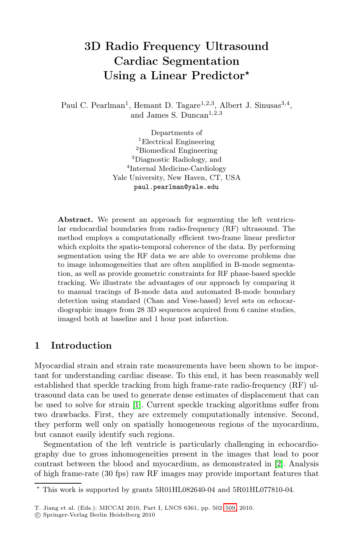# 3D Radio Frequency Ultrasound Cardiac Segmentation Using a Linear Predictor*-*

Paul C. Pearlman<sup>1</sup>, Hemant D. Tagare<sup>1,2,3</sup>, Albert J. Sinusas<sup>3,4</sup>, and James S. Duncan<sup>1,2,3</sup>

> Departments of <sup>1</sup>Electrical Engineering <sup>2</sup>Biomedical Engineering <sup>3</sup>Diagnostic Radiology, and <sup>4</sup>Internal Medicine-Cardiology Yale University, New Haven, CT, USA paul.pearlman@yale.edu

Abstract. We present an approach for segmenting the left ventricular endocardial boundaries from radio-frequency (RF) ultrasound. The method employs a computationally efficient two-frame linear predictor which exploits the spatio-temporal coherence of the data. By performing segmentation using the RF data we are able to overcome problems due to image inhomogeneities that are often amplified in B-mode segmentation, as well as provide geometric constraints for RF phase-based speckle tracking. We illustrate the advantages of our approach by comparing it to manual tracings of B-mode data and automated B-mode boundary detection using standard (Chan and Vese-based) level sets on echocardiographic images from 28 3D sequences acquired from 6 canine studies, imaged both at baseline and 1 hour post infarction.

# 1 Introduction

Myocardial strain and strain rate measurements have been shown to be important for understanding cardiac disease. To this end, it has been reasonably well established that speckle tracking from high fram[e-r](#page-7-0)ate radio-frequency (RF) ultrasound data can be used to generate dense estimates of displacement that can be used to solve for strain [1]. Current speckle tracking algorithms suffer from two drawbacks. First, they are extremely computationally intensive. Second, they perform well only on spatially homogeneous regions of the myocardium, but cannot easily identify such re[gion](#page-7-1)s.

Segmentation of the left ventricle is particularly challenging in echocardiography due to gross inhomogeneities present in the images that lead to poor contrast between the blood and myocardium, as demonstrated in [2]. Analysis of high frame-rate (30 fps) raw RF images may provide important features that

<sup>-</sup> This work is supported by grants 5R01HL082640-04 and 5R01HL077810-04.

T. Jiang et al. (Eds.): MICCAI 2010, Part I, LNCS 6361, pp. 502–509, 2010.

<sup>-</sup>c Springer-Verlag Berlin Heidelberg 2010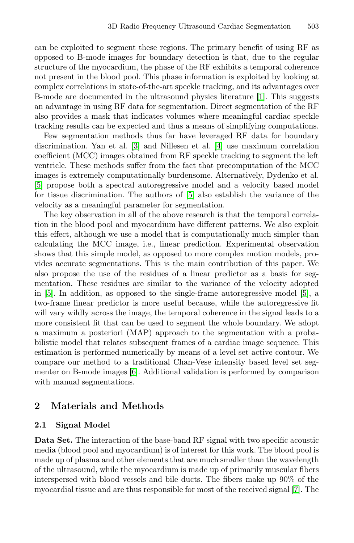can be exploited to segment these regions. The primary benefit of using RF as opposed to B-mode images for boundary detection is that, due to the regular structur[e o](#page-7-3)f the myocardium, t[he](#page-7-4) phase of the RF exhibits a temporal coherence not present in the blood pool. This phase information is exploited by looking at complex correlations in state-of-the-art speckle tracking, and its advantages over B-mode are documented in the ultrasound physics literature [1]. This suggests an advantage in using RF data for segmentation. Direct segmentation of the RF also provides a mask t[hat](#page-7-5) indicates volumes where meaningful cardiac speckle tracking results can be expected and thus a means of simplifying computations.

Few segmentation methods thus far have leveraged RF data for boundary discrimination. Yan et al. [3] and Nillesen et al. [4] use maximum correlation coefficient (MCC) images obtained from RF speckle tracking to segment the left ventricle. These methods suffer from the fact that precomputation of the MCC images is extremely computationally burdensome. Alternatively, Dydenko et al. [5] propose both a spectral autoregressive model and a velocity based model for tissue discrimination. The authors of [5] also establish the variance of the velocity as a meaningful parameter for segmentation.

The key observation in all of the above research is th[at](#page-7-5) the temporal correlation in the blood pool and myocardium have different patterns. We also exploit this effect, although we use a model that is computationally much simpler than calculating the MCC image, i.e., linear prediction. Experimental observation shows that this simple model, as opposed to more complex motion models, provides accurate segmentations. This is the main contribution of this paper. We also propose the use of the residues of a linear predictor as a basis for segmentation. These residues are similar to the variance of the velocity adopted in [5]. I[n](#page-7-6) addition, as opposed to the single-frame autoregressive model [5], a two-frame linear predictor is more useful because, while the autoregressive fit will vary wildly across the image, the temporal coherence in the signal leads to a more consistent fit that can be used to segment the whole boundary. We adopt a maximum a posteriori (MAP) approach to the segmentation with a probabilistic model that relates subsequent frames of a cardiac image sequence. This estimation is performed numerically by means of a level set active contour. We compare our method to a traditional Chan-Vese intensity based level set segmenter on B-mode images [6]. Additional validation is performed by comparison with manual segmentations.

# 2 Materials and Methods

#### 2.1 Signal Model

Data Set. The interaction of the base-band RF signal with two specific acoustic media (blood pool and myocardium) is of interest for this work. The blood pool is made up of plasma and other elements that are much smaller than the wavelength of the ultrasound, while the myocardium is made up of primarily muscular fibers interspersed with blood vessels and bile ducts. The fibers make up 90% of the myocardial tissue and are thus responsible for most of the received signal [7]. The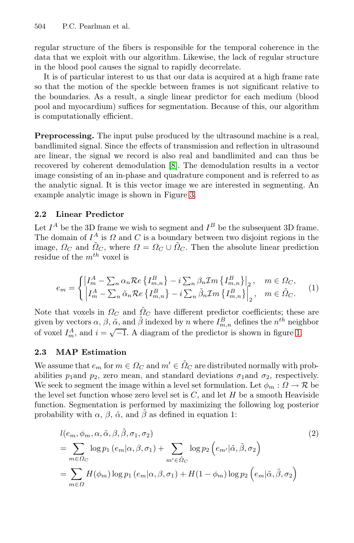504 P.C. Pearlman et al.

regular structure of the fibers is responsible for the temporal coherence in the data that we exploit with our algorithm. Likewise, the lack of regular structure in the blood pool causes the signal to rapidly decorrelate.

It is of particular interest to us that our data is acquired at a high frame rate so that the motio[n o](#page-7-7)f the speckle between frames is not significant relative to the boundaries. As a result, a single linear predictor for each medium (blood pool and myocardium) suffices for segmentation. Because of this, our algorithm is computationally effici[en](#page-5-0)t.

Preprocessing. The input pulse produced by the ultrasound machine is a real, bandlimited signal. Since the effects of transmission and reflection in ultrasound are linear, the signal we record is also real and bandlimited and can thus be recovered by coherent demodulation [8]. The demodulation results in a vector image consisting of an in-phase and quadrature component and is referred to as the analytic signal. It is this vector image we are interested in segmenting. An example analytic image is shown in Figure 3.

### 2.2 Linear Predictor

Let  $I^A$  be the 3D frame we wish to segment and  $I^B$  be the subsequent 3D frame. The domain of  $I^A$  is  $\Omega$  and  $C$  is a boundary between two disjoint regions in the image,  $\Omega_C$  and  $\tilde{\Omega}_C$ , where  $\Omega = \Omega_C \cup \tilde{\Omega}_C$ . Then the absolute linear prediction residue of the  $m^{th}$  voxel is

$$
e_m = \begin{cases} \left| I_m^A - \sum_n \alpha_n \mathcal{R}e \left\{ I_{m,n}^B \right\} - i \sum_n \beta_n \mathcal{I}m \left\{ I_{m,n}^B \right\} \right|_2, & m \in \Omega_C, \\ \left| I_m^A - \sum_n \tilde{\alpha}_n \mathcal{R}e \left\{ I_{m,n}^B \right\} - i \sum_n \tilde{\beta}_n \mathcal{I}m \left\{ I_{m,n}^B \right\} \right|_2, & m \in \tilde{\Omega}_C. \end{cases} (1)
$$

Note that voxels in  $\Omega_C$  and  $\tilde{\Omega}_C$  have different predictor coefficients; these are given by vectors  $\alpha$ ,  $\beta$ ,  $\tilde{\alpha}$ , and  $\tilde{\beta}$  indexed by n where  $I_{m,n}^B$  defines the n<sup>th</sup> neighbor<br>of your  $I_A$  and  $\tilde{\beta}$  and  $\tilde{\beta}$  discusses of the negligious is shown in forms 1 of voxel  $I_m^A$ , and  $i = \sqrt{-1}$ . A diagram of the predictor is shown in figure 1.

#### 2.3 MAP Estimation

We assume that  $e_m$  for  $m \in \Omega_C$  and  $m' \in \tilde{\Omega}_C$  are distributed normally with probabilities  $p_1$ and  $p_2$ , zero mean, and standard deviations  $\sigma_1$ and  $\sigma_2$ , respectively. We seek to segment the image within a level set formulation. Let  $\phi_m: \Omega \to \mathcal{R}$  be the level set function whose zero level set is  $C$ , and let  $H$  be a smooth Heaviside function. Segmentation is performed by maximizing the following log posterior probability with  $\alpha$ ,  $\beta$ ,  $\tilde{\alpha}$ , and  $\tilde{\beta}$  as defined in equation 1:

$$
l(e_m, \phi_m, \alpha, \tilde{\alpha}, \beta, \tilde{\beta}, \sigma_1, \sigma_2)
$$
\n
$$
= \sum_{m \in \Omega_C} \log p_1(e_m | \alpha, \beta, \sigma_1) + \sum_{m' \in \tilde{\Omega}_C} \log p_2(e_{m'} | \tilde{\alpha}, \tilde{\beta}, \sigma_2)
$$
\n
$$
= \sum_{m \in \Omega} H(\phi_m) \log p_1(e_m | \alpha, \beta, \sigma_1) + H(1 - \phi_m) \log p_2(e_m | \tilde{\alpha}, \tilde{\beta}, \sigma_2)
$$
\n(2)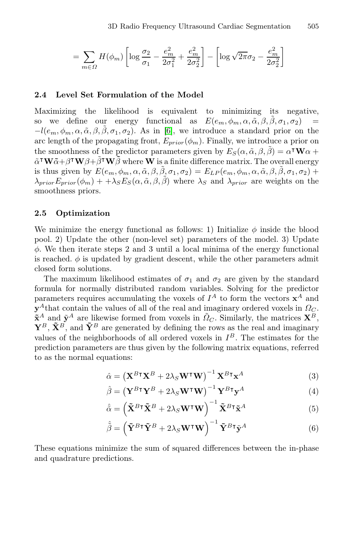$$
= \sum_{m\in\Omega} H(\phi_m) \left[ \log \frac{\sigma_2}{\sigma_1} - \frac{e_m^2}{2\sigma_1^2} + \frac{e_m^2}{2\sigma_2^2} \right] - \left[ \log \sqrt{2\pi} \sigma_2 - \frac{e_m^2}{2\sigma_2^2} \right]
$$

#### 2.4 Level Set Formulation of the Model

Maximizing the likelihood is equivalent to minimizing its negative, so we define our energy functional as  $E(e_m, \phi_m, \alpha, \tilde{\alpha}, \beta, \beta, \sigma_1, \sigma_2)$  $-l(e_m, \phi_m, \alpha, \tilde{\alpha}, \beta, \tilde{\beta}, \sigma_1, \sigma_2)$ . As in [6], we introduce a standard prior on the arc length of the propagating front,  $E_{prior}(\phi_m)$ . Finally, we introduce a prior on the smoothness of the predictor parameters given by  $E_S(\alpha, \tilde{\alpha}, \beta, \beta) = \alpha^T \mathbf{W} \alpha + \tilde{\alpha}^T \mathbf{W} \tilde{\alpha} + \beta^T \mathbf{W} \beta + \tilde{\beta}^T \mathbf{W} \tilde{\beta}$  where W is a finite difference matrix. The overall energy  $\tilde{\alpha}^{\intercal} \mathbf{W} \tilde{\alpha} + \beta^{\intercal} \mathbf{W} \beta + \tilde{\beta}^{\intercal} \mathbf{W} \tilde{\beta}$  where  $\mathbf{W}$  is a finite difference matrix. The overall energy is thus given by  $E(e_m, \phi_m, \alpha, \tilde{\alpha}, \beta, \tilde{\beta}, \sigma_1, \sigma_2) = E_{LP}(e_m, \phi_m, \alpha, \tilde{\alpha}, \beta, \tilde{\beta}, \sigma_1, \sigma_2) +$  $\lambda_{prior}E_{prior}(\phi_m)++\lambda_S E_S(\alpha, \tilde{\alpha}, \beta, \tilde{\beta})$  where  $\lambda_S$  and  $\lambda_{prior}$  are weights on the smoothness priors.

#### 2.5 Optimization

We minimize the energy functional as follows: 1) Initialize  $\phi$  inside the blood pool. 2) Update the other (non-level set) parameters of the model. 3) Update  $\phi$ . We then iterate steps 2 and 3 until a local minima of the energy functional is reached.  $\phi$  is updated by gradient descent, while the other parameters admit closed form solutions.

The maximum likelihood estimates of  $\sigma_1$  and  $\sigma_2$  are given by the standard formula for normally distributed random variables. Solving for the predictor parameters requires accumulating the voxels of  $I^A$  to form the vectors  $\mathbf{x}^A$  and **that contain the values of all of the real and imaginary ordered voxels in**  $\Omega_C$ **.**  $\tilde{\mathbf{x}}^A$  and  $\tilde{\mathbf{y}}^A$  are likewise formed from voxels in  $\tilde{Q}_C$ . Similarly, the matrices  $\mathbf{X}^B$ ,  $\mathbf{Y}^B$ ,  $\tilde{\mathbf{X}}^B$ , and  $\tilde{\mathbf{Y}}^B$  are generated by defining the rows as the real and imaginary values of the neighborhoods of all ordered voxels in  $I^B$ . The estimates for the prediction parameters are thus given by the following matrix equations, referred to as the normal equations:

$$
\hat{\alpha} = \left(\mathbf{X}^{B\top}\mathbf{X}^{B} + 2\lambda_{S}\mathbf{W}^{\top}\mathbf{W}\right)^{-1}\mathbf{X}^{B\top}\mathbf{x}^{A}
$$
\n(3)

$$
\hat{\beta} = \left(\mathbf{Y}^{B\mathsf{T}}\mathbf{Y}^{B} + 2\lambda_{S}\mathbf{W}^{\mathsf{T}}\mathbf{W}\right)^{-1}\mathbf{Y}^{B\mathsf{T}}\mathbf{y}^{A}
$$
\n(4)

$$
\hat{\tilde{\alpha}} = \left( \tilde{\mathbf{X}}^{B \dagger} \tilde{\mathbf{X}}^{B} + 2\lambda_{S} \mathbf{W}^{\dagger} \mathbf{W} \right)^{-1} \tilde{\mathbf{X}}^{B \dagger} \tilde{\mathbf{x}}^{A}
$$
(5)

$$
\hat{\tilde{\beta}} = \left(\tilde{\mathbf{Y}}^{B\intercal}\tilde{\mathbf{Y}}^{B} + 2\lambda_{S}\mathbf{W}^{\intercal}\mathbf{W}\right)^{-1}\tilde{\mathbf{Y}}^{B\intercal}\tilde{\mathbf{y}}^{A}
$$
(6)

These equations minimize the sum of squared differences between the in-phase and quadrature predictions.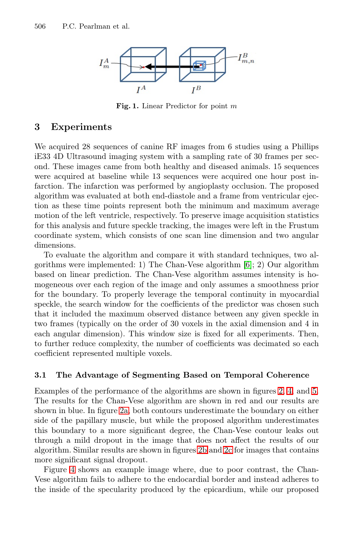506 P.C. Pearlman et al.



Fig. 1. Linear Predictor for point *<sup>m</sup>*

## 3 Experiments

We acquired 28 sequences of canine RF images from 6 studies using a Phillips iE33 4D Ultrasound imaging system with a sampling rate of 30 frames per second. These images came from both healthy and diseased animals. 15 sequences were acquired at baseline while 13 sequences were acquired one hour post infarction. The infarction was performed [by](#page-7-6) angioplasty occlusion. The proposed algorithm was evaluated at both end-diastole and a frame from ventricular ejection as these time points represent both the minimum and maximum average motion of the left ventricle, respectively. To preserve image acquisition statistics for this analysis and future speckle tracking, the images were left in the Frustum coordinate system, which consists of one scan line dimension and two angular dimensions.

To evaluate the algorithm and compare it with standard techniques, two algorithms were implemented: 1) The Chan-Vese algorithm [6]; 2) Our algorithm based on linear prediction. The Chan-Vese algorithm assumes intensity is homogeneous over each region of the image and only assumes a smoothness prior for the boundary. To properly leverage the temporal continuity in myocardial speckle, the search window for the coefficients of the predictor was chosen such that it included the maximum observed distanc[e b](#page-5-1)[et](#page-5-0)ween [a](#page-5-0)ny given speckle in two frames (typically on the order of 30 voxels in the axial dimension and 4 in each [an](#page-5-2)gular dimension). This window size is fixed for all experiments. Then, to further reduce complexity, the number of coefficients was decimated so each coefficient represented multiple voxels.

#### 3.1 The Advantage of [Se](#page-5-3)gm[ent](#page-5-4)ing Based on Temporal Coherence

Examples of the performance of the algorithms are shown in figures 2, 4, and 5. The results for the Chan-Vese algorithm are shown in red and our results are shown in blue. In figure 2a, both contours underestimate the boundary on either side of the papillary muscle, but while the proposed algorithm underestimates this boundary to a more significant degree, the Chan-Vese contour leaks out through a mild dropout in the image that does not affect the results of our algorithm. Similar results are shown in figures 2b and 2c for images that contains more significant signal dropout.

Figure 4 shows an example image where, due to poor contrast, the Chan-Vese algorithm fails to adhere to the endocardial border and instead adheres to the inside of the specularity produced by the epicardium, while our proposed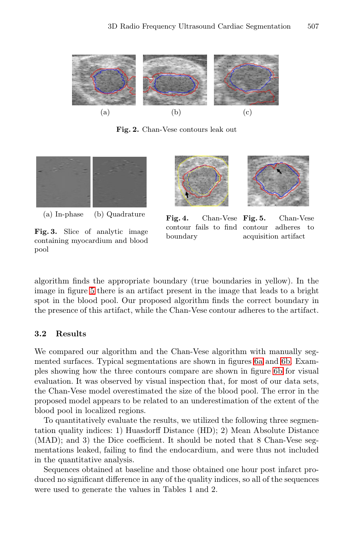#### <span id="page-5-4"></span>3D Radio Frequency Ultrasound Cardiac Segmentation 507

<span id="page-5-3"></span><span id="page-5-2"></span><span id="page-5-1"></span><span id="page-5-0"></span>

Fig. 2. Chan-Vese contours leak out



Fig. 3. Slice of analytic image containing myocardium and blood pool



acquisition artifact

algorithm finds the appropriate boundar[y \(t](#page-6-0)rue [bou](#page-6-1)ndaries in yellow). In the image in figure 5 there is an artifact present in [the](#page-6-1) image that leads to a bright spot in the blood pool. Our proposed algorithm finds the correct boundary in the presence of this artifact, while the Chan-Vese contour adheres to the artifact.

## 3.2 Results

We compared our algorithm and the Chan-Vese algorithm with manually segmented surfaces. Typical segmentations are shown in figures 6a and 6b. Examples showing how the three contours compare are shown in figure 6b for visual evaluation. It was observed by visual inspection that, for most of our data sets, the Chan-Vese model overestimated the size of the blood pool. The error in the proposed model appears to be related to an underestimation of the extent of the blood pool in localized regions.

To quantitatively evaluate the results, we utilized the following three segmentation quality indices: 1) Huasdorff Distance (HD); 2) Mean Absolute Distance (MAD); and 3) the Dice coefficient. It should be noted that 8 Chan-Vese segmentations leaked, failing to find the endocardium, and were thus not included in the quantitative analysis.

Sequences obtained at baseline and those obtained one hour post infarct produced no significant difference in any of the quality indices, so all of the sequences were used to generate the values in Tables 1 and 2.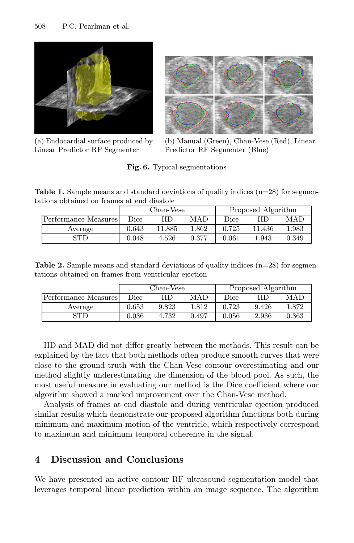<span id="page-6-0"></span>

(a) Endocardial surface produced by Linear Predictor RF Segmenter



(b) Manual (Green), Chan-Vese (Red), Linear Predictor RF Segmenter (Blue)

<span id="page-6-1"></span>Fig. 6. Typical segmentations

**Table 1.** Sample means and standard deviations of quality indices  $(n=28)$  for segmentations obtained on frames at end diastole

|                      | Chan-Vese |        |       | Proposed Algorithm |        |       |
|----------------------|-----------|--------|-------|--------------------|--------|-------|
| Performance Measures | Dice      | ΗD     | MAD   | Dice               |        | MAD   |
| Average              | 0.643     | 11.885 | 1.862 | 0.725              | 11.436 | 1.983 |
| <b>STD</b>           | 0.048     | 4.526  | 0.377 | 0.061              | 1.943  | 0.349 |

**Table 2.** Sample means and standard deviations of quality indices  $(n=28)$  for segmentations obtained on frames from ventricular ejection

|                      | Chan-Vese |       |       | Proposed Algorithm |       |       |
|----------------------|-----------|-------|-------|--------------------|-------|-------|
| Performance Measures | Dice      | НD    | MAD   | Dice               | НD    | MAD   |
| Average              | 0.653     | 9.823 | 1.812 | 0.723              | 9.426 | 1.872 |
| STD                  | 0.036     | 4.732 | 0.497 | 0.056              | 2.936 | 0.363 |

HD and MAD did not differ greatly between the methods. This result can be explained by the fact that both methods often produce smooth curves that were close to the ground truth with the Chan-Vese contour overestimating and our method slightly underestimating the dimension of the blood pool. As such, the most useful measure in evaluating our method is the Dice coefficient where our algorithm showed a marked improvement over the Chan-Vese method.

Analysis of frames at end diastole and during ventricular ejection produced similar results which demonstrate our proposed algorithm functions both during minimum and maximum motion of the ventricle, which respectively correspond to maximum and minimum temporal coherence in the signal.

# 4 Discussion and Conclusions

We have presented an active contour RF ultrasound segmentation model that leverages temporal linear prediction within an image sequence. The algorithm